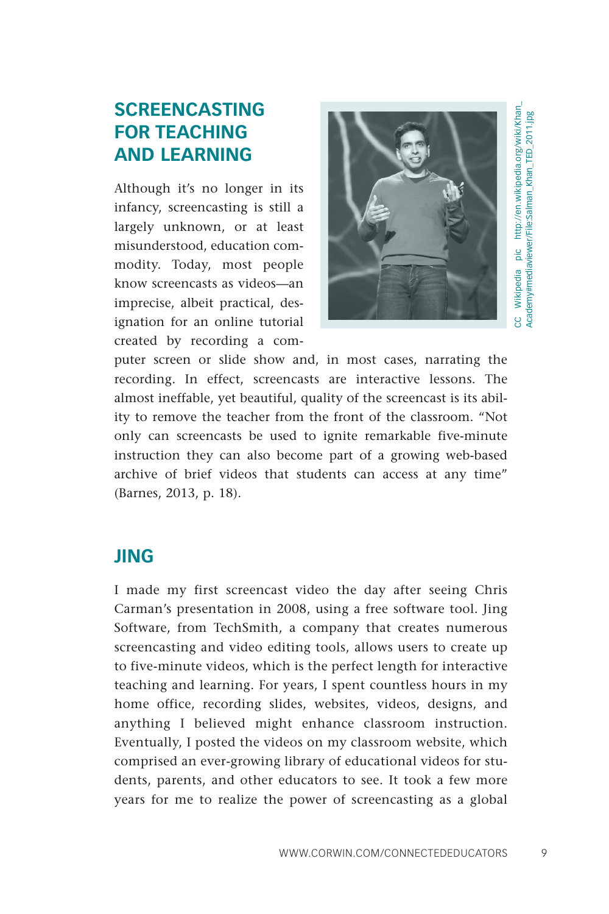## **SCREENCASTING FOR TEACHING AND LEARNING**

Although it's no longer in its infancy, screencasting is still a largely unknown, or at least misunderstood, education commodity. Today, most people know screencasts as videos—an imprecise, albeit practical, designation for an online tutorial created by recording a com-



CC Wikipedia pic [http://en.wikipedia.org/wiki/Khan\\_](http://en.wikipedia.org/wiki/Khan_Academy#mediaviewer/File:Salman_Khan_TED_2011.jpg) CC Wikipedia pic http://en.wikipedia.org/wiki/Khan.<br>Academy#mediaviewer/File:Salman\_Khan\_TED\_2011.jpg [Academy#mediaviewer/File:Salman\\_Khan\\_TED\\_2011.jpg](http://en.wikipedia.org/wiki/Khan_Academy#mediaviewer/File:Salman_Khan_TED_2011.jpg)

puter screen or slide show and, in most cases, narrating the recording. In effect, screencasts are interactive lessons. The almost ineffable, yet beautiful, quality of the screencast is its ability to remove the teacher from the front of the classroom. "Not only can screencasts be used to ignite remarkable five-minute instruction they can also become part of a growing web-based archive of brief videos that students can access at any time" (Barnes, 2013, p. 18).

## **JING**

I made my first screencast video the day after seeing Chris Carman's presentation in 2008, using a free software tool. Jing Software, from TechSmith, a company that creates numerous screencasting and video editing tools, allows users to create up to five-minute videos, which is the perfect length for interactive teaching and learning. For years, I spent countless hours in my home office, recording slides, websites, videos, designs, and anything I believed might enhance classroom instruction. Eventually, I posted the videos on my classroom website, which comprised an ever-growing library of educational videos for students, parents, and other educators to see. It took a few more years for me to realize the power of screencasting as a global